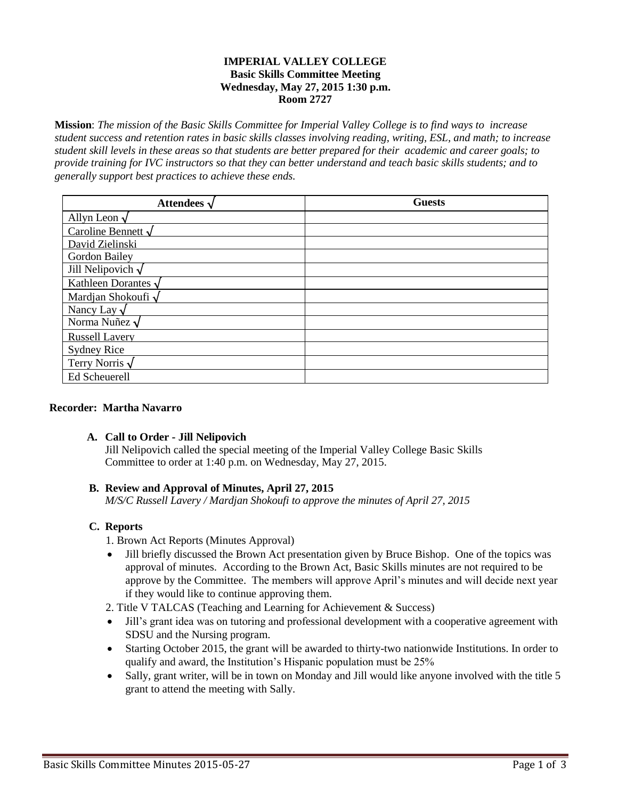### **IMPERIAL VALLEY COLLEGE Basic Skills Committee Meeting Wednesday, May 27, 2015 1:30 p.m. Room 2727**

**Mission**: *The mission of the Basic Skills Committee for Imperial Valley College is to find ways to increase student success and retention rates in basic skills classes involving reading, writing, ESL, and math; to increase student skill levels in these areas so that students are better prepared for their academic and career goals; to provide training for IVC instructors so that they can better understand and teach basic skills students; and to generally support best practices to achieve these ends.*

| Attendees $\sqrt$         | <b>Guests</b> |
|---------------------------|---------------|
| Allyn Leon $\sqrt$        |               |
| Caroline Bennett $\sqrt$  |               |
| David Zielinski           |               |
| Gordon Bailey             |               |
| Jill Nelipovich $\sqrt$   |               |
| Kathleen Dorantes $\sqrt$ |               |
| Mardian Shokoufi $\sqrt$  |               |
| Nancy Lay $\sqrt$         |               |
| Norma Nuñez $\sqrt$       |               |
| <b>Russell Lavery</b>     |               |
| <b>Sydney Rice</b>        |               |
| Terry Norris $\sqrt$      |               |
| Ed Scheuerell             |               |

#### **Recorder: Martha Navarro**

# **A. Call to Order - Jill Nelipovich**

Jill Nelipovich called the special meeting of the Imperial Valley College Basic Skills Committee to order at 1:40 p.m. on Wednesday, May 27, 2015.

# **B. Review and Approval of Minutes, April 27, 2015**

*M/S/C Russell Lavery / Mardjan Shokoufi to approve the minutes of April 27, 2015*

# **C. Reports**

1. Brown Act Reports (Minutes Approval)

 Jill briefly discussed the Brown Act presentation given by Bruce Bishop. One of the topics was approval of minutes. According to the Brown Act, Basic Skills minutes are not required to be approve by the Committee. The members will approve April's minutes and will decide next year if they would like to continue approving them.

2. Title V TALCAS (Teaching and Learning for Achievement & Success)

- Jill's grant idea was on tutoring and professional development with a cooperative agreement with SDSU and the Nursing program.
- Starting October 2015, the grant will be awarded to thirty-two nationwide Institutions. In order to qualify and award, the Institution's Hispanic population must be 25%
- Sally, grant writer, will be in town on Monday and Jill would like anyone involved with the title 5 grant to attend the meeting with Sally.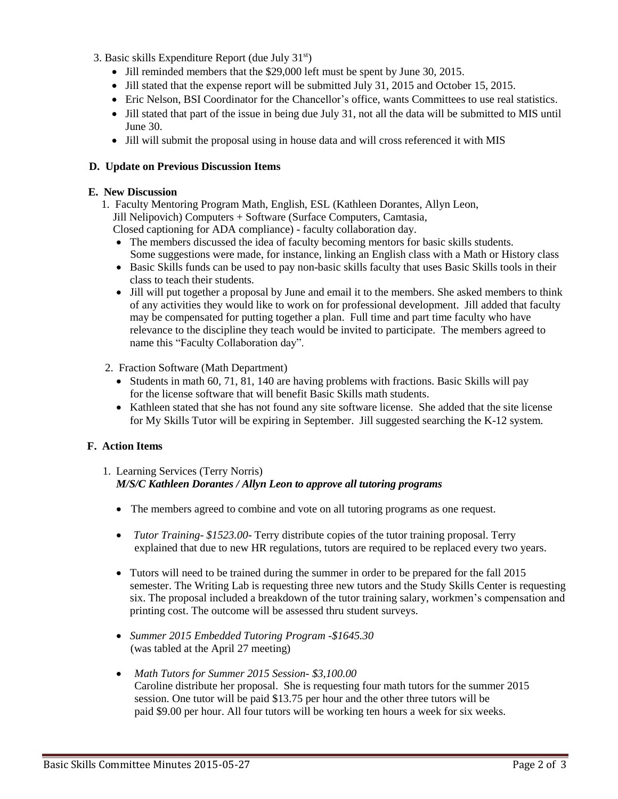- 3. Basic skills Expenditure Report (due July 31st)
	- Jill reminded members that the \$29,000 left must be spent by June 30, 2015.
	- Jill stated that the expense report will be submitted July 31, 2015 and October 15, 2015.
	- Eric Nelson, BSI Coordinator for the Chancellor's office, wants Committees to use real statistics.
	- Jill stated that part of the issue in being due July 31, not all the data will be submitted to MIS until June 30.
	- Jill will submit the proposal using in house data and will cross referenced it with MIS

### **D. Update on Previous Discussion Items**

#### **E. New Discussion**

- 1. Faculty Mentoring Program Math, English, ESL (Kathleen Dorantes, Allyn Leon, Jill Nelipovich) Computers + Software (Surface Computers, Camtasia,
	- Closed captioning for ADA compliance) faculty collaboration day.
	- The members discussed the idea of faculty becoming mentors for basic skills students. Some suggestions were made, for instance, linking an English class with a Math or History class
	- Basic Skills funds can be used to pay non-basic skills faculty that uses Basic Skills tools in their class to teach their students.
	- Jill will put together a proposal by June and email it to the members. She asked members to think of any activities they would like to work on for professional development. Jill added that faculty may be compensated for putting together a plan. Full time and part time faculty who have relevance to the discipline they teach would be invited to participate. The members agreed to name this "Faculty Collaboration day".
- 2. Fraction Software (Math Department)
	- $\bullet$  Students in math 60, 71, 81, 140 are having problems with fractions. Basic Skills will pay for the license software that will benefit Basic Skills math students.
	- Kathleen stated that she has not found any site software license. She added that the site license for My Skills Tutor will be expiring in September. Jill suggested searching the K-12 system.

#### **F. Action Items**

# 1. Learning Services (Terry Norris)

# *M/S/C Kathleen Dorantes / Allyn Leon to approve all tutoring programs*

- The members agreed to combine and vote on all tutoring programs as one request.
- *Tutor Training \$1523.00* Terry distribute copies of the tutor training proposal. Terry explained that due to new HR regulations, tutors are required to be replaced every two years.
- Tutors will need to be trained during the summer in order to be prepared for the fall 2015 semester. The Writing Lab is requesting three new tutors and the Study Skills Center is requesting six. The proposal included a breakdown of the tutor training salary, workmen's compensation and printing cost. The outcome will be assessed thru student surveys.
- *Summer 2015 Embedded Tutoring Program -\$1645.30* (was tabled at the April 27 meeting)
- *Math Tutors for Summer 2015 Session- \$3,100.00* Caroline distribute her proposal. She is requesting four math tutors for the summer 2015 session. One tutor will be paid \$13.75 per hour and the other three tutors will be paid \$9.00 per hour. All four tutors will be working ten hours a week for six weeks.